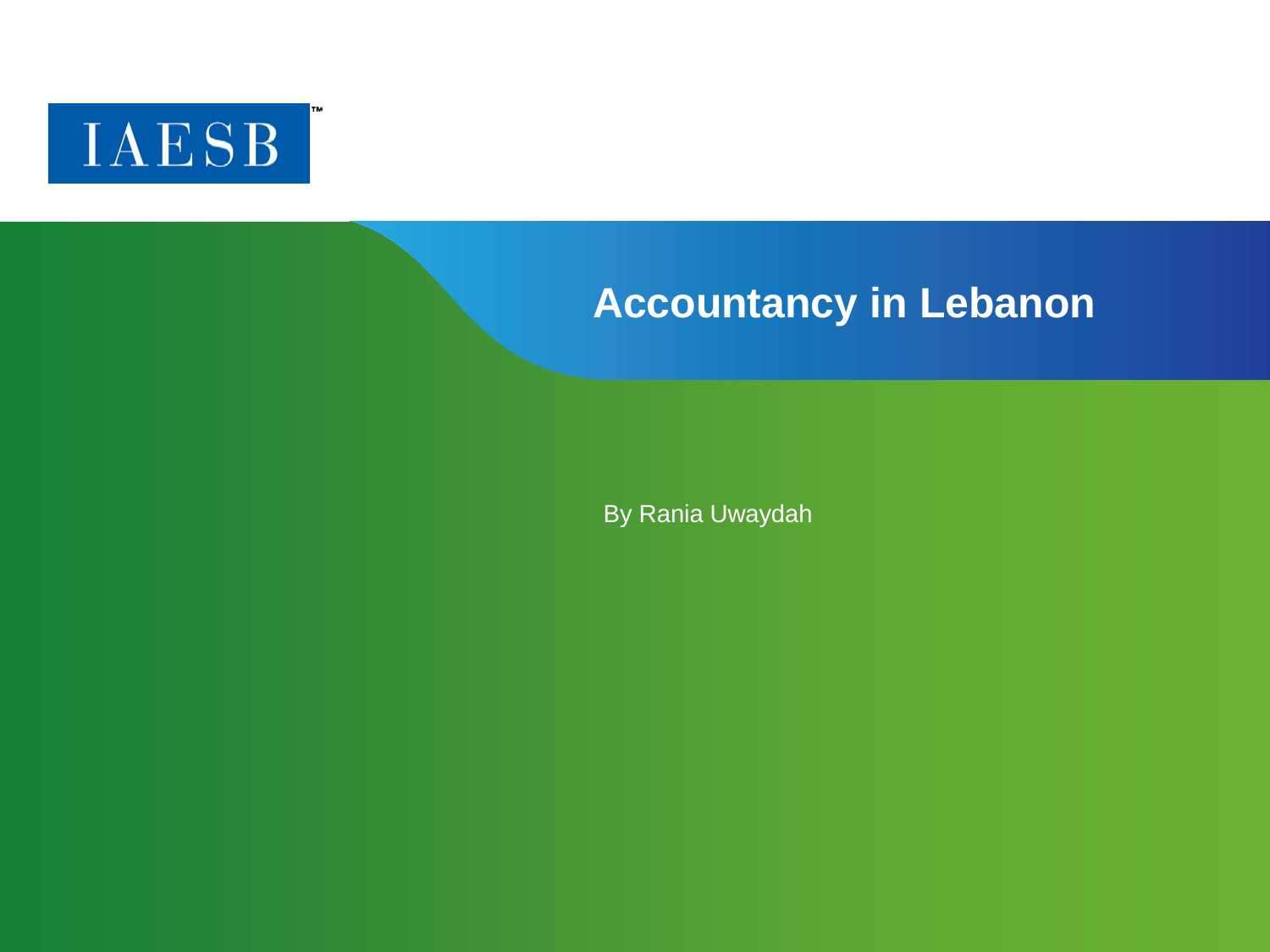

#### **Accountancy in Lebanon**

By Rania Uwaydah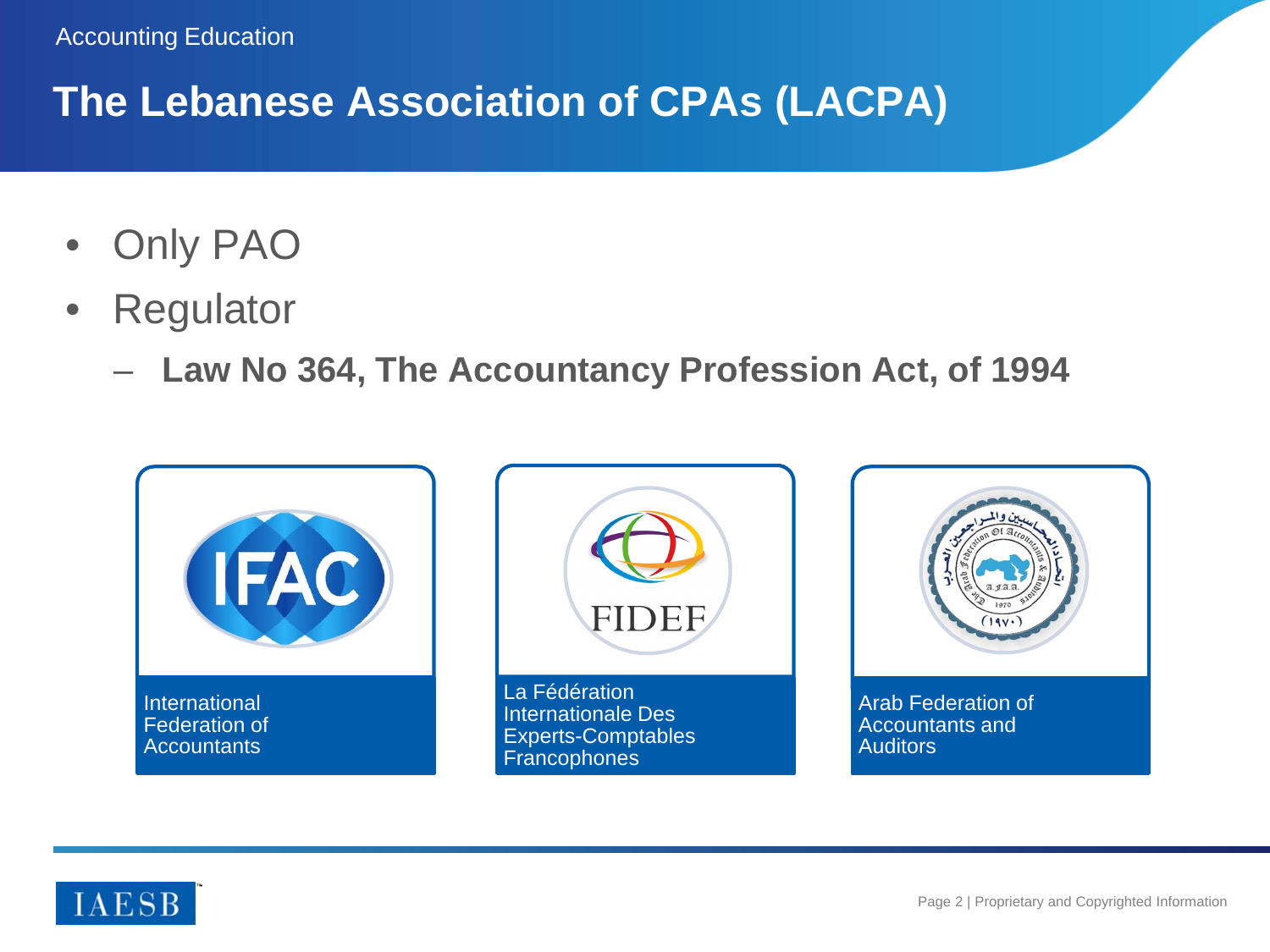# **The Lebanese Association of CPAs (LACPA)**

- Only PAO
- Regulator
	- **Law No 364, The Accountancy Profession Act, of 1994**



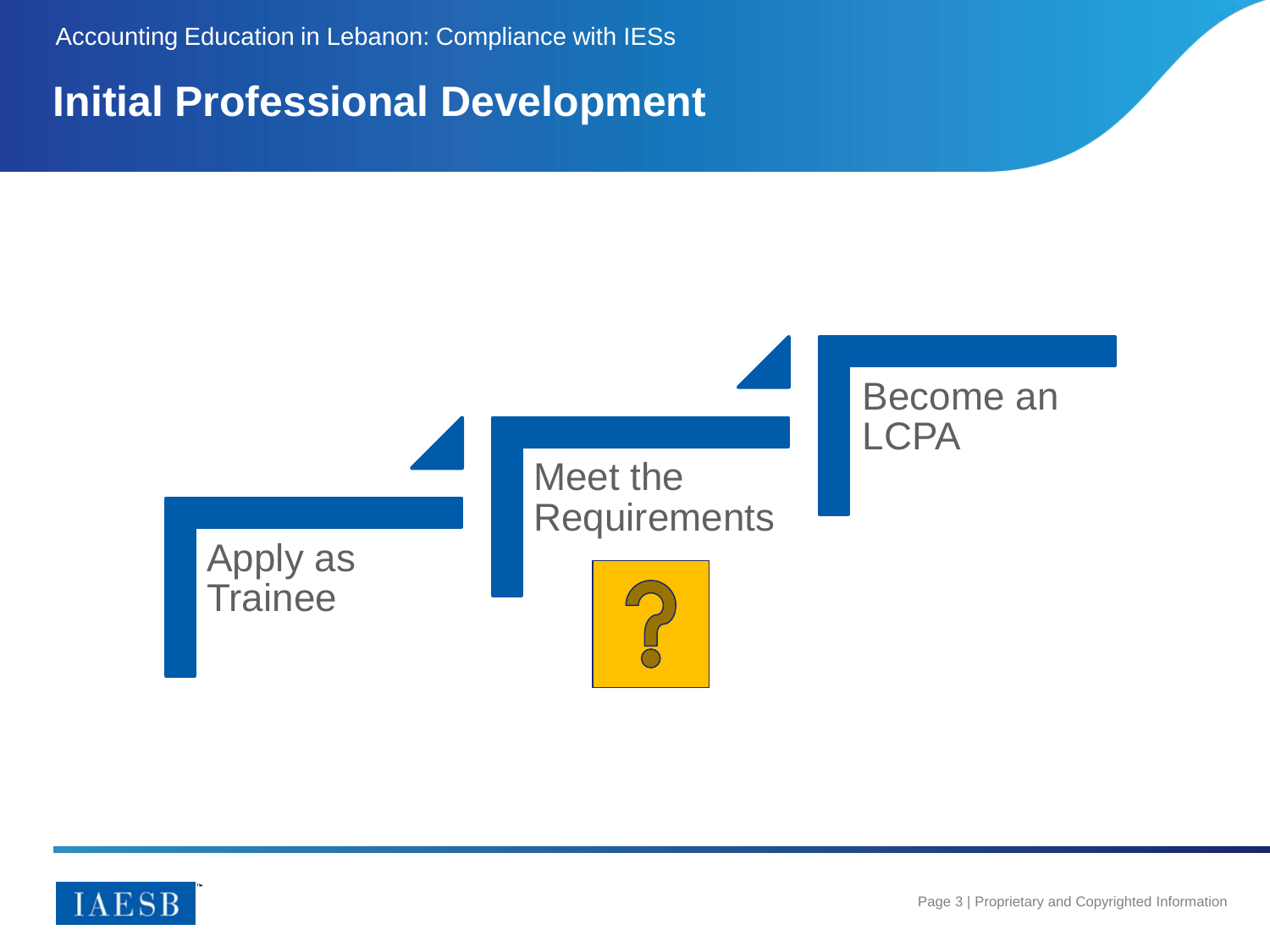Accounting Education in Lebanon: Compliance with IESs

#### **Initial Professional Development**



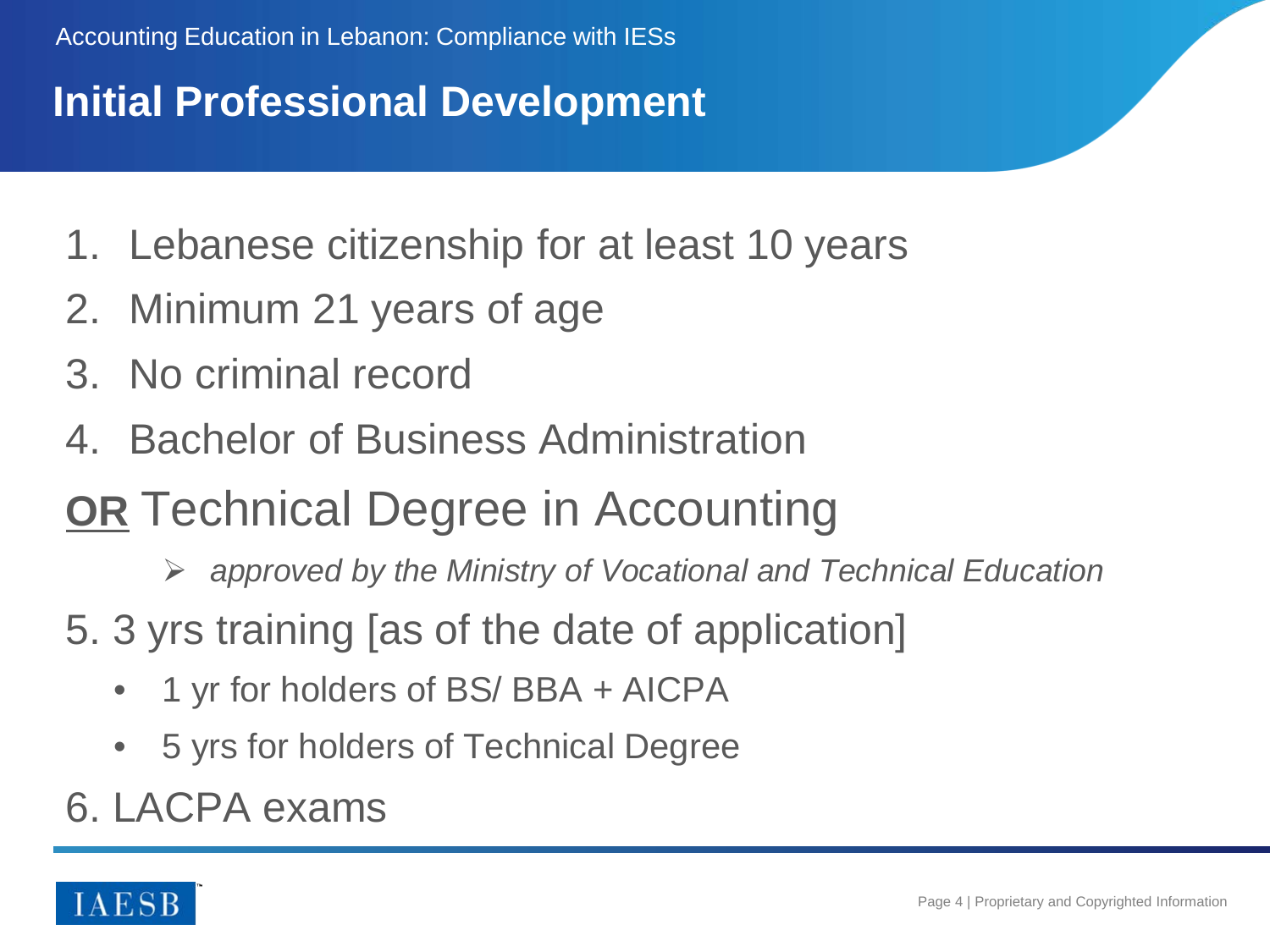# **Initial Professional Development**

- 1. Lebanese citizenship for at least 10 years
- 2. Minimum 21 years of age
- 3. No criminal record
- 4. Bachelor of Business Administration
- **OR** Technical Degree in Accounting
	- *approved by the Ministry of Vocational and Technical Education*
- 5. 3 yrs training [as of the date of application]
	- 1 yr for holders of BS/ BBA + AICPA
	- 5 yrs for holders of Technical Degree
- 6. LACPA exams

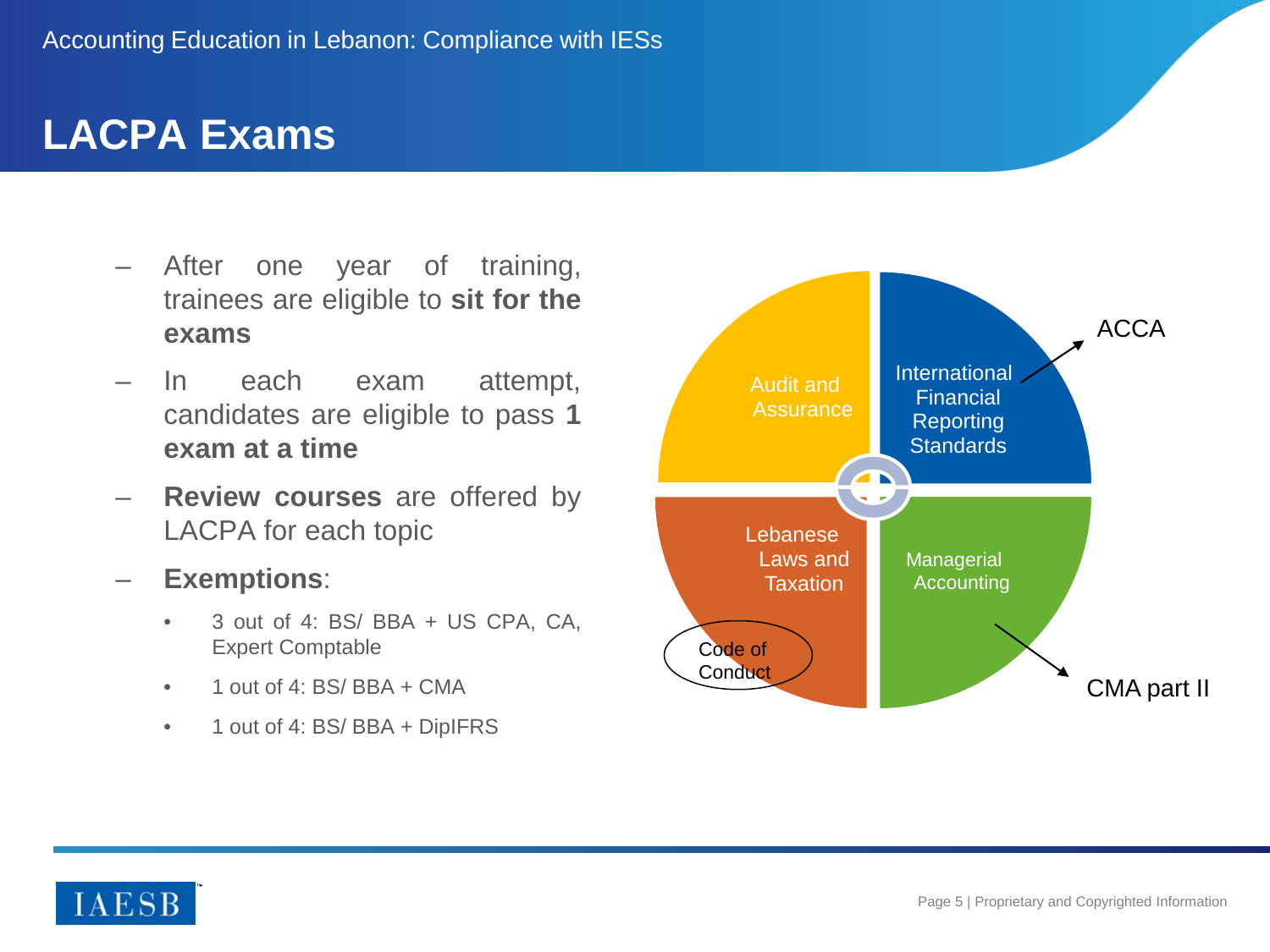#### **LACPA Exams**

- After one year of training, trainees are eligible to **sit for the exams**
- In each exam attempt, candidates are eligible to pass **1 exam at a time**
- **Review courses** are offered by LACPA for each topic
- **Exemptions**:
	- 3 out of 4: BS/ BBA + US CPA, CA, Expert Comptable
	- 1 out of 4: BS/ BBA + CMA
	- 1 out of 4: BS/ BBA + DipIFRS



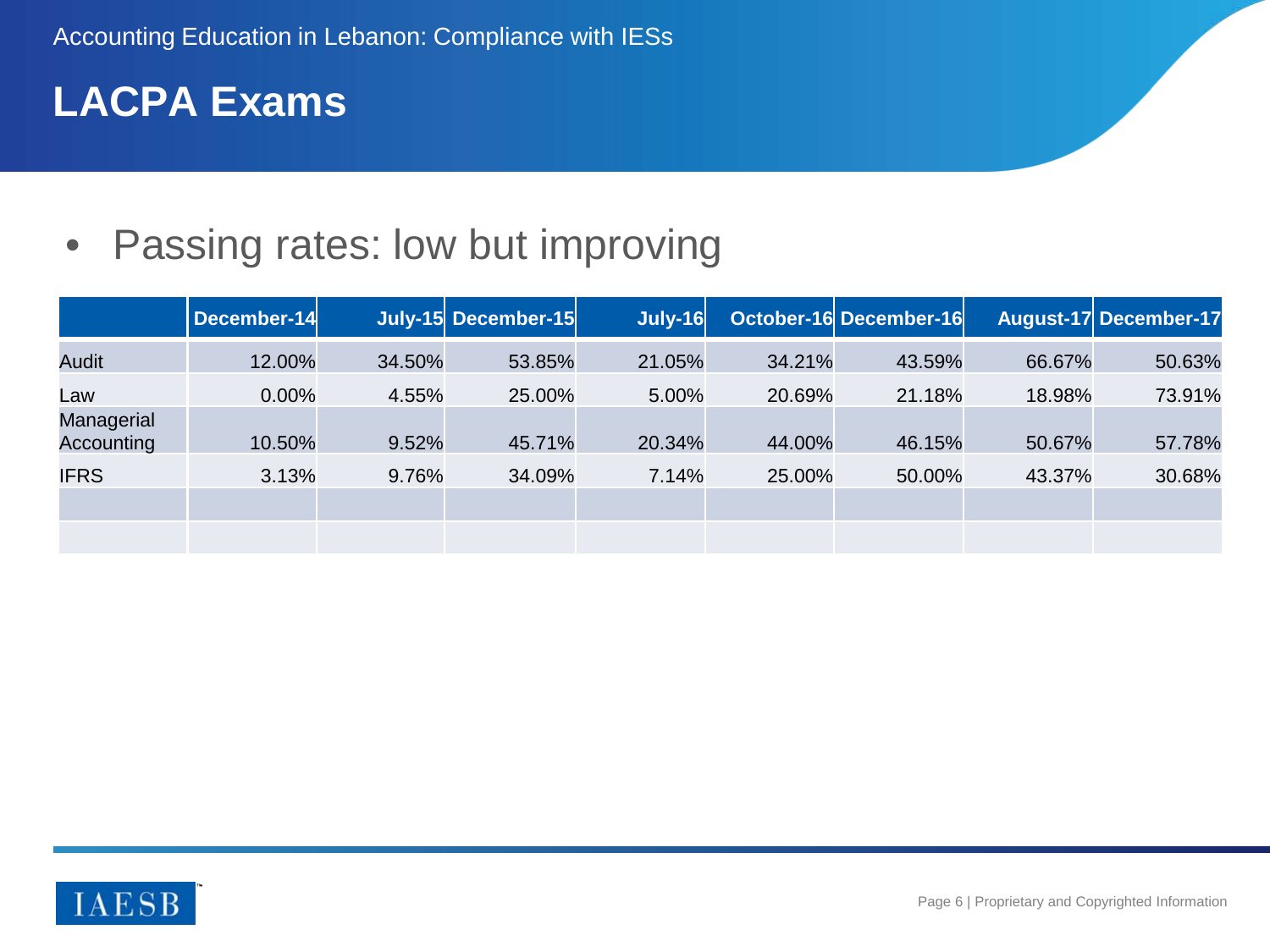# **LACPA Exams**

### • Passing rates: low but improving

|                          | December-14 |        | July-15 December-15 | <b>July-16</b> |        | October-16 December-16 |        | August-17 December-17 |
|--------------------------|-------------|--------|---------------------|----------------|--------|------------------------|--------|-----------------------|
| <b>Audit</b>             | 12.00%      | 34.50% | 53.85%              | 21.05%         | 34.21% | 43.59%                 | 66.67% | 50.63%                |
| Law                      | $0.00\%$    | 4.55%  | 25.00%              | 5.00%          | 20.69% | 21.18%                 | 18.98% | 73.91%                |
| Managerial<br>Accounting | 10.50%      | 9.52%  | 45.71%              | 20.34%         | 44.00% | 46.15%                 | 50.67% | 57.78%                |
| <b>IFRS</b>              | 3.13%       | 9.76%  | 34.09%              | 7.14%          | 25.00% | 50.00%                 | 43.37% | 30.68%                |
|                          |             |        |                     |                |        |                        |        |                       |
|                          |             |        |                     |                |        |                        |        |                       |

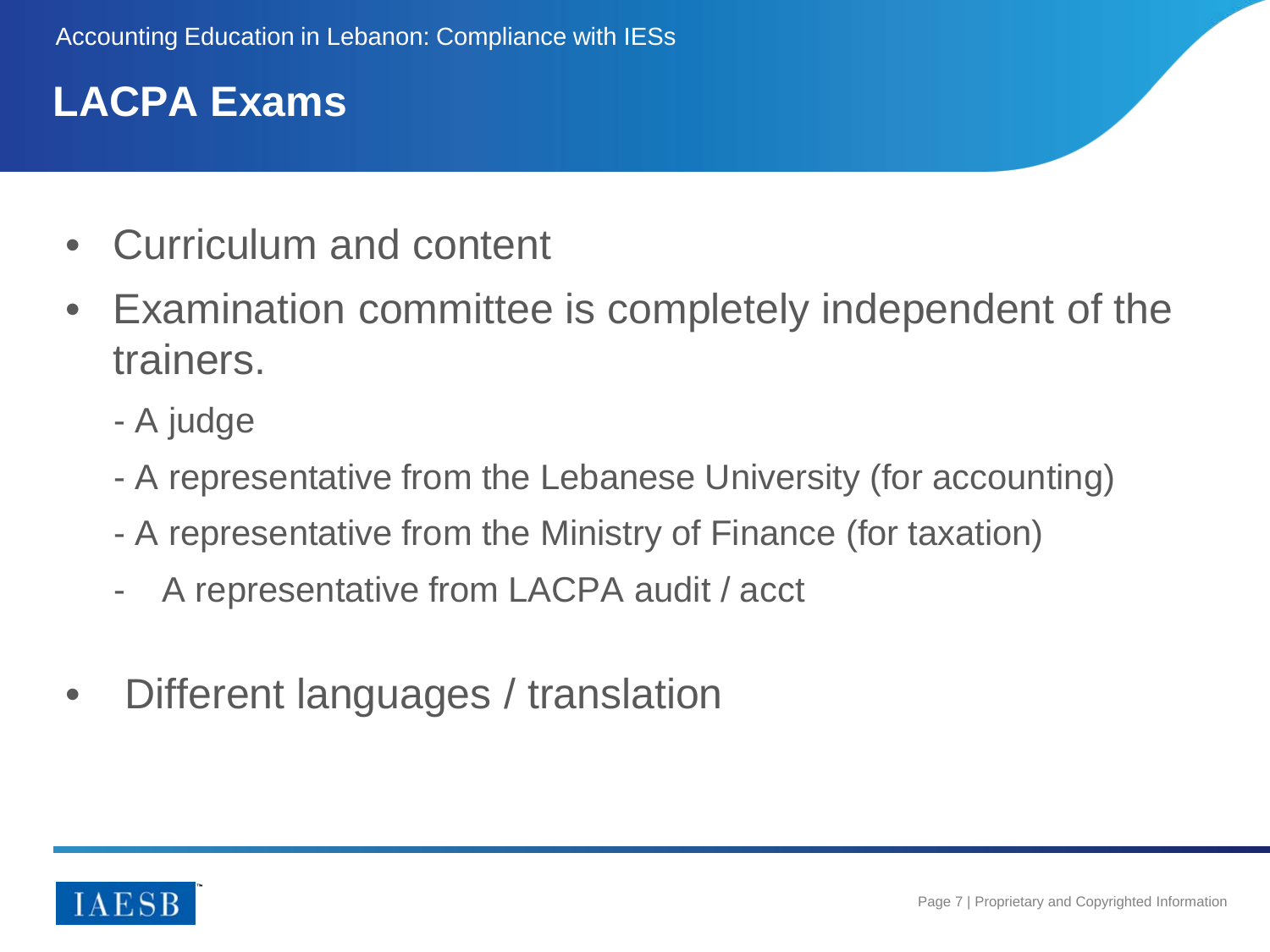# **LACPA Exams**

- Curriculum and content
- Examination committee is completely independent of the trainers.
	- A judge
	- A representative from the Lebanese University (for accounting)
	- A representative from the Ministry of Finance (for taxation)
	- A representative from LACPA audit / acct
- Different languages / translation

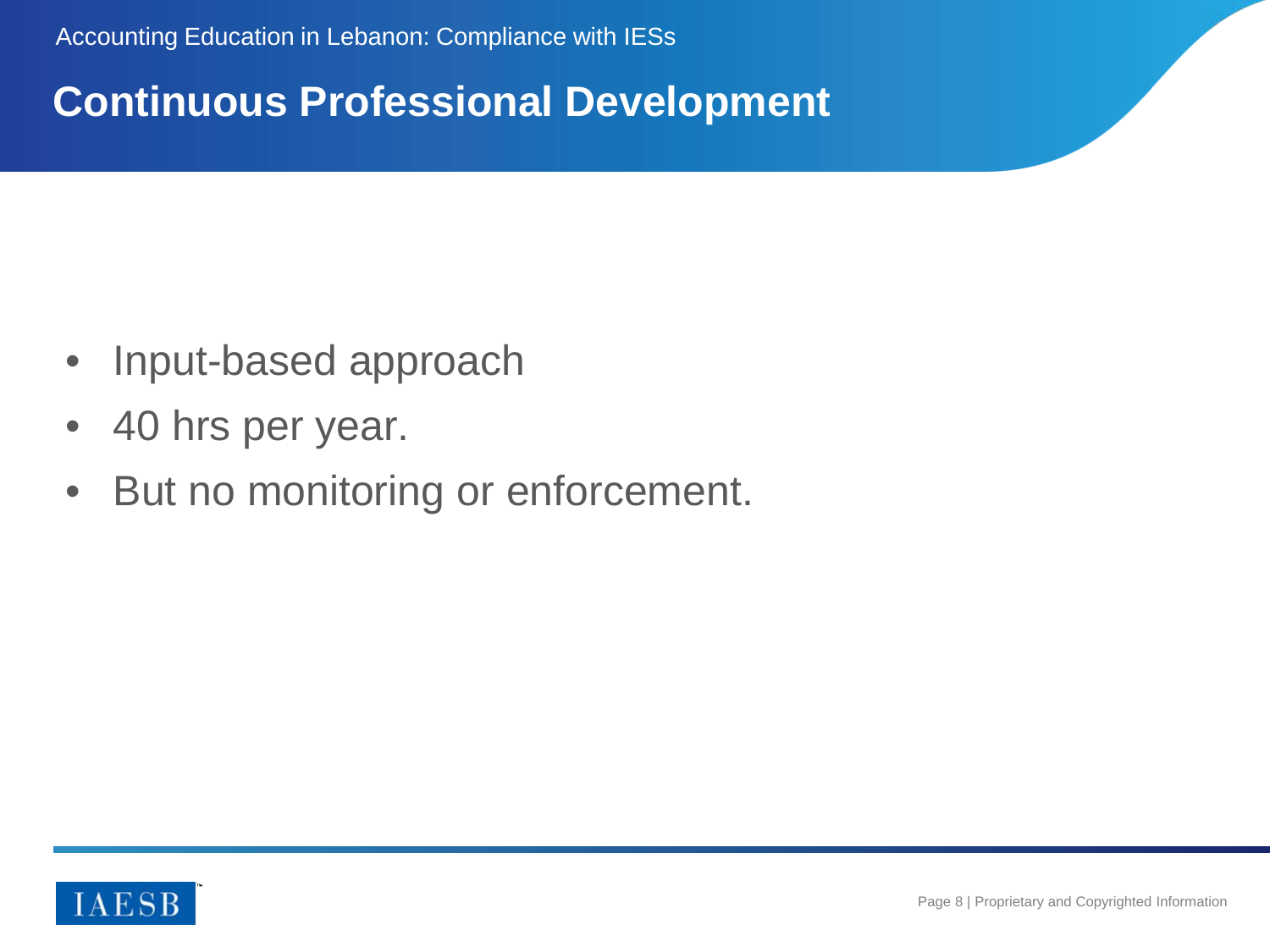### **Continuous Professional Development**

- Input-based approach
- 40 hrs per year.
- But no monitoring or enforcement.

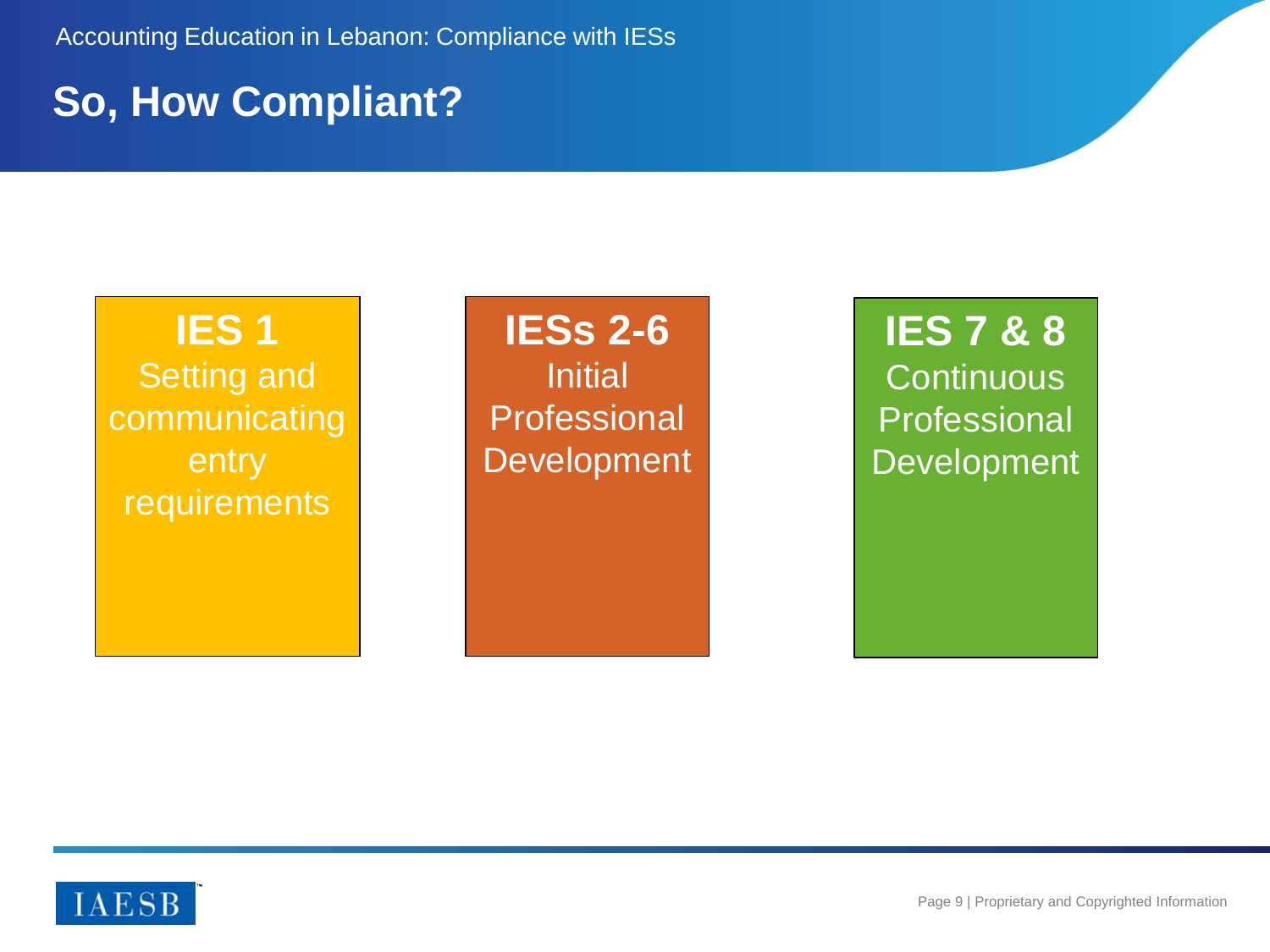#### **So, How Compliant?**

#### **IES 1**

Setting and communicating entry requirements

# **IESs 2-6**

**Initial Professional Development** 

**IES 7 & 8 Continuous** Professional **Development** 

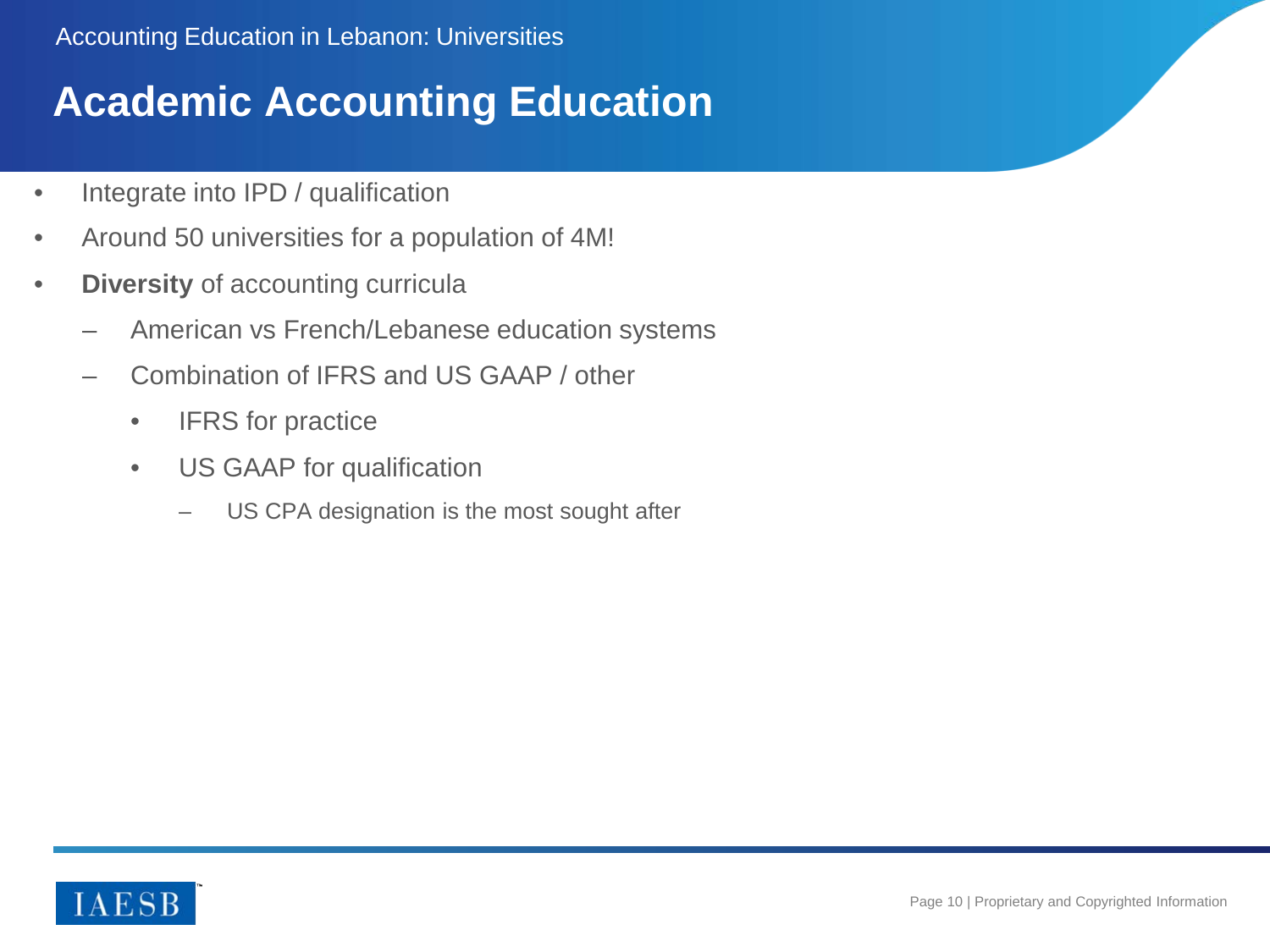# **Academic Accounting Education**

- Integrate into IPD / qualification
- Around 50 universities for a population of 4M!
- **Diversity** of accounting curricula
	- American vs French/Lebanese education systems
	- Combination of IFRS and US GAAP / other
		- IFRS for practice
		- US GAAP for qualification
			- US CPA designation is the most sought after